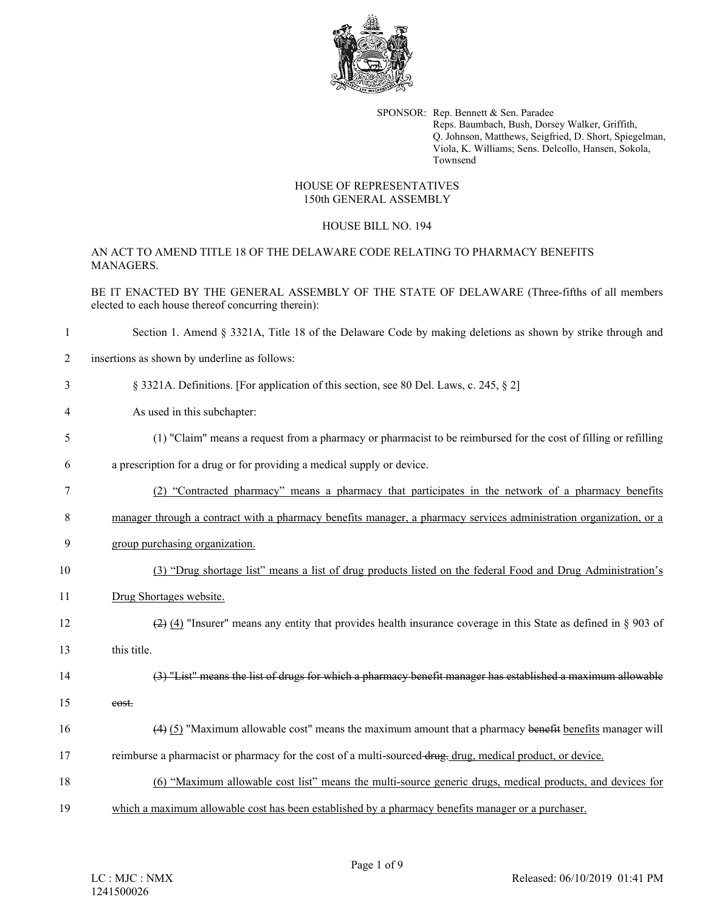

SPONSOR: Rep. Bennett & Sen. Paradee Reps. Baumbach, Bush, Dorsey Walker, Griffith, Q. Johnson, Matthews, Seigfried, D. Short, Spiegelman, Viola, K. Williams; Sens. Delcollo, Hansen, Sokola, Townsend

## HOUSE OF REPRESENTATIVES 150th GENERAL ASSEMBLY

## HOUSE BILL NO. 194

AN ACT TO AMEND TITLE 18 OF THE DELAWARE CODE RELATING TO PHARMACY BENEFITS MANAGERS.

BE IT ENACTED BY THE GENERAL ASSEMBLY OF THE STATE OF DELAWARE (Three-fifths of all members elected to each house thereof concurring therein):

- 1 Section 1. Amend § 3321A, Title 18 of the Delaware Code by making deletions as shown by strike through and
- 2 insertions as shown by underline as follows:
- 3 § 3321A. Definitions. [For application of this section, see 80 Del. Laws, c. 245, § 2]
- 4 As used in this subchapter:
- 5 (1) "Claim" means a request from a pharmacy or pharmacist to be reimbursed for the cost of filling or refilling
- 6 a prescription for a drug or for providing a medical supply or device.
- 7 (2) "Contracted pharmacy" means a pharmacy that participates in the network of a pharmacy benefits
- 8 manager through a contract with a pharmacy benefits manager, a pharmacy services administration organization, or a
- 9 group purchasing organization.
- 10 (3) "Drug shortage list" means a list of drug products listed on the federal Food and Drug Administration's
- 11 Drug Shortages website.
- 12 (2) (4) "Insurer" means any entity that provides health insurance coverage in this State as defined in  $\S 903$  of
- 13 this title.
- 14 (3) "List" means the list of drugs for which a pharmacy benefit manager has established a maximum allowable
- 15 cost.
- 16 (4) (5) "Maximum allowable cost" means the maximum amount that a pharmacy benefit benefits manager will
- 17 reimburse a pharmacist or pharmacy for the cost of a multi-sourced drug. drug, medical product, or device.
- 18 (6) "Maximum allowable cost list" means the multi-source generic drugs, medical products, and devices for 19 which a maximum allowable cost has been established by a pharmacy benefits manager or a purchaser.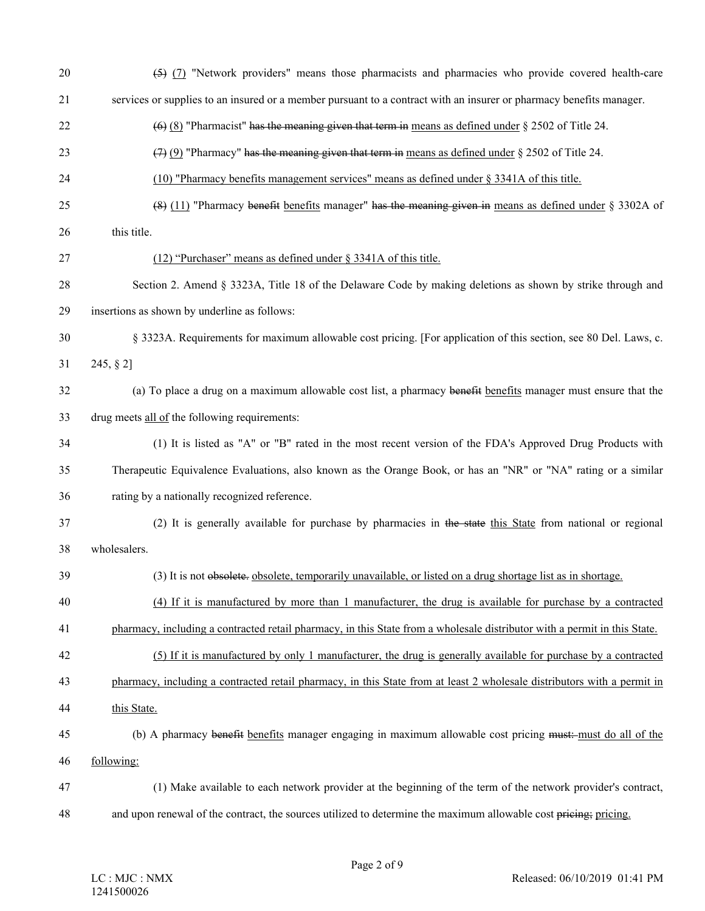| 20 | (5) (7) "Network providers" means those pharmacists and pharmacies who provide covered health-care                        |
|----|---------------------------------------------------------------------------------------------------------------------------|
| 21 | services or supplies to an insured or a member pursuant to a contract with an insurer or pharmacy benefits manager.       |
| 22 | $(6)$ (8) "Pharmacist" has the meaning given that term in means as defined under § 2502 of Title 24.                      |
| 23 | $(7)$ (9) "Pharmacy" has the meaning given that term in means as defined under § 2502 of Title 24.                        |
| 24 | (10) "Pharmacy benefits management services" means as defined under § 3341A of this title.                                |
| 25 | $(8)$ (11) "Pharmacy benefit benefits manager" has the meaning given in means as defined under § 3302A of                 |
| 26 | this title.                                                                                                               |
| 27 | (12) "Purchaser" means as defined under § 3341A of this title.                                                            |
| 28 | Section 2. Amend § 3323A, Title 18 of the Delaware Code by making deletions as shown by strike through and                |
| 29 | insertions as shown by underline as follows:                                                                              |
| 30 | § 3323A. Requirements for maximum allowable cost pricing. [For application of this section, see 80 Del. Laws, c.          |
| 31 | 245, § 2]                                                                                                                 |
| 32 | (a) To place a drug on a maximum allowable cost list, a pharmacy benefit benefits manager must ensure that the            |
| 33 | drug meets all of the following requirements:                                                                             |
| 34 | (1) It is listed as "A" or "B" rated in the most recent version of the FDA's Approved Drug Products with                  |
| 35 | Therapeutic Equivalence Evaluations, also known as the Orange Book, or has an "NR" or "NA" rating or a similar            |
| 36 | rating by a nationally recognized reference.                                                                              |
| 37 | (2) It is generally available for purchase by pharmacies in the state this State from national or regional                |
| 38 | wholesalers.                                                                                                              |
| 39 | (3) It is not obsolete, obsolete, temporarily unavailable, or listed on a drug shortage list as in shortage.              |
| 40 | (4) If it is manufactured by more than 1 manufacturer, the drug is available for purchase by a contracted                 |
| 41 | pharmacy, including a contracted retail pharmacy, in this State from a wholesale distributor with a permit in this State. |
| 42 | (5) If it is manufactured by only 1 manufacturer, the drug is generally available for purchase by a contracted            |
| 43 | pharmacy, including a contracted retail pharmacy, in this State from at least 2 wholesale distributors with a permit in   |
| 44 | this State.                                                                                                               |
| 45 | (b) A pharmacy benefit benefits manager engaging in maximum allowable cost pricing must:-must do all of the               |
| 46 | following:                                                                                                                |
| 47 | (1) Make available to each network provider at the beginning of the term of the network provider's contract,              |
| 48 | and upon renewal of the contract, the sources utilized to determine the maximum allowable cost pricing; pricing.          |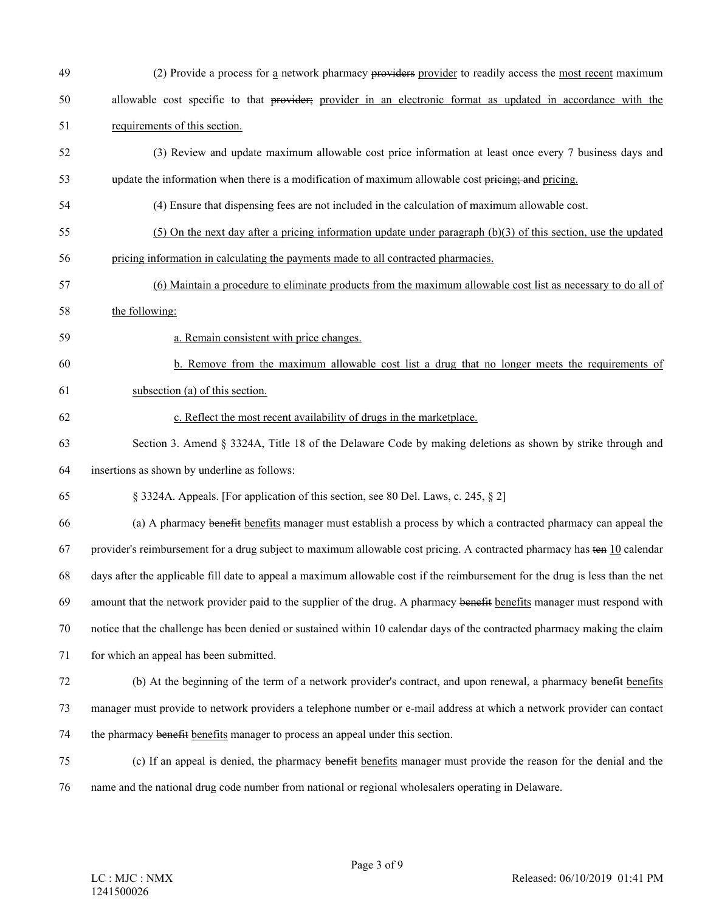49 (2) Provide a process for a network pharmacy providers provider to readily access the most recent maximum 50 allowable cost specific to that provider; provider in an electronic format as updated in accordance with the 51 requirements of this section. 52 (3) Review and update maximum allowable cost price information at least once every 7 business days and 53 update the information when there is a modification of maximum allowable cost pricing; and pricing. 54 (4) Ensure that dispensing fees are not included in the calculation of maximum allowable cost. 55 (5) On the next day after a pricing information update under paragraph (b)(3) of this section, use the updated 56 pricing information in calculating the payments made to all contracted pharmacies. 57 (6) Maintain a procedure to eliminate products from the maximum allowable cost list as necessary to do all of 58 the following: 59 a. Remain consistent with price changes. 60 b. Remove from the maximum allowable cost list a drug that no longer meets the requirements of 61 subsection (a) of this section. 62 c. Reflect the most recent availability of drugs in the marketplace. 63 Section 3. Amend § 3324A, Title 18 of the Delaware Code by making deletions as shown by strike through and 64 insertions as shown by underline as follows: 65 § 3324A. Appeals. [For application of this section, see 80 Del. Laws, c. 245, § 2] 66 (a) A pharmacy benefit benefits manager must establish a process by which a contracted pharmacy can appeal the 67 provider's reimbursement for a drug subject to maximum allowable cost pricing. A contracted pharmacy has ten 10 calendar 68 days after the applicable fill date to appeal a maximum allowable cost if the reimbursement for the drug is less than the net 69 amount that the network provider paid to the supplier of the drug. A pharmacy benefit benefits manager must respond with 70 notice that the challenge has been denied or sustained within 10 calendar days of the contracted pharmacy making the claim 71 for which an appeal has been submitted. 72 (b) At the beginning of the term of a network provider's contract, and upon renewal, a pharmacy benefit benefits 73 manager must provide to network providers a telephone number or e-mail address at which a network provider can contact 74 the pharmacy benefit benefits manager to process an appeal under this section. 75 (c) If an appeal is denied, the pharmacy benefit benefits manager must provide the reason for the denial and the 76 name and the national drug code number from national or regional wholesalers operating in Delaware.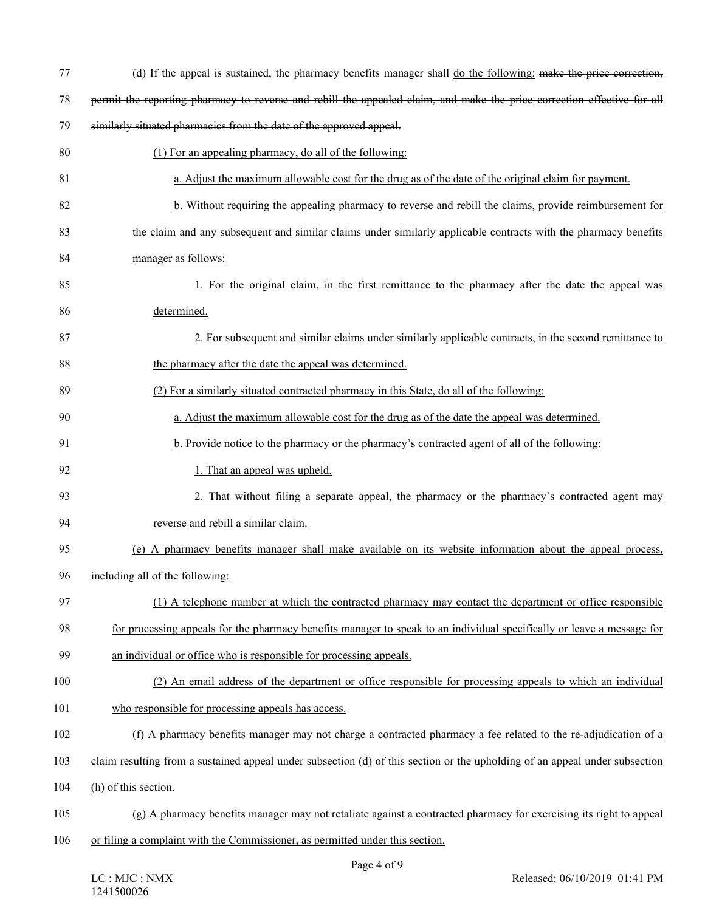| 77  | (d) If the appeal is sustained, the pharmacy benefits manager shall do the following: make the price correction,            |
|-----|-----------------------------------------------------------------------------------------------------------------------------|
| 78  | permit the reporting pharmacy to reverse and rebill the appealed claim, and make the price correction effective for all     |
| 79  | similarly situated pharmacies from the date of the approved appeal.                                                         |
| 80  | (1) For an appealing pharmacy, do all of the following:                                                                     |
| 81  | a. Adjust the maximum allowable cost for the drug as of the date of the original claim for payment.                         |
| 82  | b. Without requiring the appealing pharmacy to reverse and rebill the claims, provide reimbursement for                     |
| 83  | the claim and any subsequent and similar claims under similarly applicable contracts with the pharmacy benefits             |
| 84  | manager as follows:                                                                                                         |
| 85  | 1. For the original claim, in the first remittance to the pharmacy after the date the appeal was                            |
| 86  | determined.                                                                                                                 |
| 87  | 2. For subsequent and similar claims under similarly applicable contracts, in the second remittance to                      |
| 88  | the pharmacy after the date the appeal was determined.                                                                      |
| 89  | (2) For a similarly situated contracted pharmacy in this State, do all of the following:                                    |
| 90  | a. Adjust the maximum allowable cost for the drug as of the date the appeal was determined.                                 |
| 91  | b. Provide notice to the pharmacy or the pharmacy's contracted agent of all of the following:                               |
| 92  | 1. That an appeal was upheld.                                                                                               |
| 93  | 2. That without filing a separate appeal, the pharmacy or the pharmacy's contracted agent may                               |
| 94  | reverse and rebill a similar claim.                                                                                         |
| 95  | (e) A pharmacy benefits manager shall make available on its website information about the appeal process,                   |
| 96  | including all of the following:                                                                                             |
| 97  | (1) A telephone number at which the contracted pharmacy may contact the department or office responsible                    |
| 98  | for processing appeals for the pharmacy benefits manager to speak to an individual specifically or leave a message for      |
| 99  | an individual or office who is responsible for processing appeals.                                                          |
| 100 | (2) An email address of the department or office responsible for processing appeals to which an individual                  |
| 101 | who responsible for processing appeals has access.                                                                          |
| 102 | (f) A pharmacy benefits manager may not charge a contracted pharmacy a fee related to the re-adjudication of a              |
| 103 | claim resulting from a sustained appeal under subsection (d) of this section or the upholding of an appeal under subsection |
| 104 | (h) of this section.                                                                                                        |
| 105 | (g) A pharmacy benefits manager may not retaliate against a contracted pharmacy for exercising its right to appeal          |
| 106 | or filing a complaint with the Commissioner, as permitted under this section.                                               |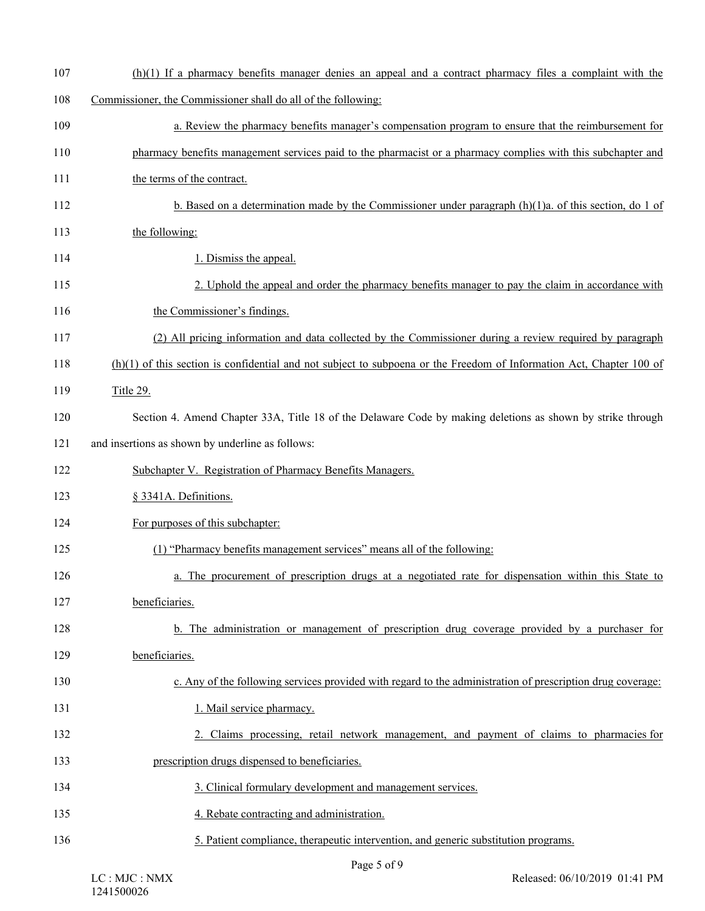| 107 | $(h)(1)$ If a pharmacy benefits manager denies an appeal and a contract pharmacy files a complaint with the            |
|-----|------------------------------------------------------------------------------------------------------------------------|
| 108 | Commissioner, the Commissioner shall do all of the following:                                                          |
| 109 | a. Review the pharmacy benefits manager's compensation program to ensure that the reimbursement for                    |
| 110 | pharmacy benefits management services paid to the pharmacist or a pharmacy complies with this subchapter and           |
| 111 | the terms of the contract.                                                                                             |
| 112 | b. Based on a determination made by the Commissioner under paragraph $(h)(1)a$ . of this section, do 1 of              |
| 113 | the following:                                                                                                         |
| 114 | 1. Dismiss the appeal.                                                                                                 |
| 115 | 2. Uphold the appeal and order the pharmacy benefits manager to pay the claim in accordance with                       |
| 116 | the Commissioner's findings.                                                                                           |
| 117 | (2) All pricing information and data collected by the Commissioner during a review required by paragraph               |
| 118 | $(h)(1)$ of this section is confidential and not subject to subpoena or the Freedom of Information Act, Chapter 100 of |
| 119 | Title 29.                                                                                                              |
| 120 | Section 4. Amend Chapter 33A, Title 18 of the Delaware Code by making deletions as shown by strike through             |
| 121 | and insertions as shown by underline as follows:                                                                       |
| 122 | Subchapter V. Registration of Pharmacy Benefits Managers.                                                              |
| 123 | § 3341A. Definitions.                                                                                                  |
| 124 | For purposes of this subchapter:                                                                                       |
| 125 | (1) "Pharmacy benefits management services" means all of the following:                                                |
| 126 | a. The procurement of prescription drugs at a negotiated rate for dispensation within this State to                    |
| 127 | beneficiaries.                                                                                                         |
| 128 | b. The administration or management of prescription drug coverage provided by a purchaser for                          |
| 129 | beneficiaries.                                                                                                         |
| 130 | c. Any of the following services provided with regard to the administration of prescription drug coverage:             |
| 131 | 1. Mail service pharmacy.                                                                                              |
| 132 | 2. Claims processing, retail network management, and payment of claims to pharmacies for                               |
| 133 | prescription drugs dispensed to beneficiaries.                                                                         |
| 134 | 3. Clinical formulary development and management services.                                                             |
| 135 | 4. Rebate contracting and administration.                                                                              |
| 136 | 5. Patient compliance, therapeutic intervention, and generic substitution programs.                                    |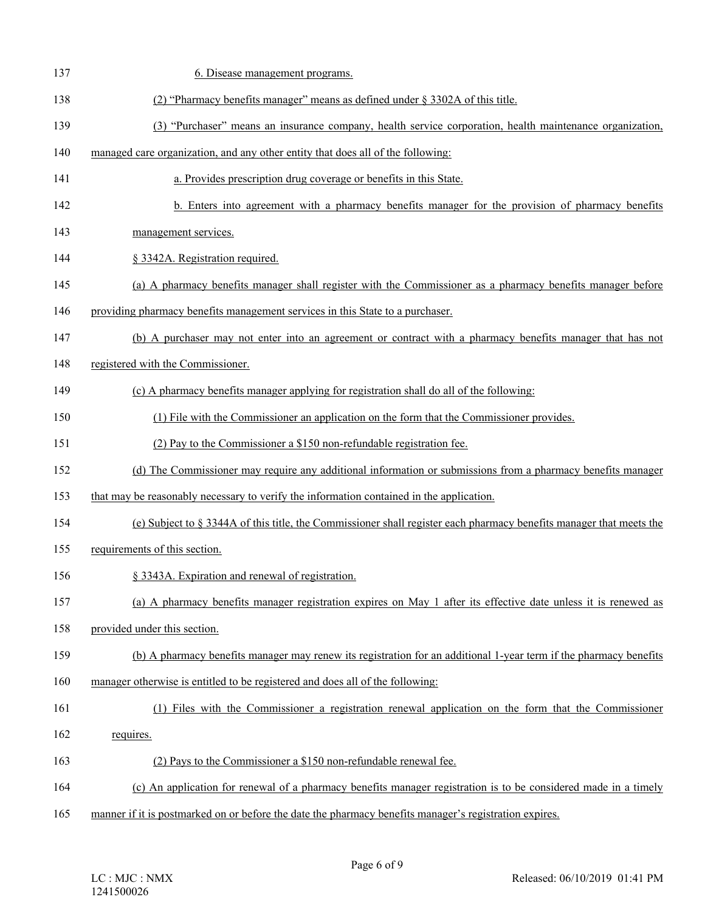| 137 | 6. Disease management programs.                                                                                     |
|-----|---------------------------------------------------------------------------------------------------------------------|
| 138 | (2) "Pharmacy benefits manager" means as defined under $\S$ 3302A of this title.                                    |
| 139 | (3) "Purchaser" means an insurance company, health service corporation, health maintenance organization,            |
| 140 | managed care organization, and any other entity that does all of the following:                                     |
| 141 | a. Provides prescription drug coverage or benefits in this State.                                                   |
| 142 | b. Enters into agreement with a pharmacy benefits manager for the provision of pharmacy benefits                    |
| 143 | management services.                                                                                                |
| 144 | § 3342A. Registration required.                                                                                     |
| 145 | (a) A pharmacy benefits manager shall register with the Commissioner as a pharmacy benefits manager before          |
| 146 | providing pharmacy benefits management services in this State to a purchaser.                                       |
| 147 | (b) A purchaser may not enter into an agreement or contract with a pharmacy benefits manager that has not           |
| 148 | registered with the Commissioner.                                                                                   |
| 149 | (c) A pharmacy benefits manager applying for registration shall do all of the following:                            |
| 150 | (1) File with the Commissioner an application on the form that the Commissioner provides.                           |
| 151 | (2) Pay to the Commissioner a \$150 non-refundable registration fee.                                                |
| 152 | (d) The Commissioner may require any additional information or submissions from a pharmacy benefits manager         |
| 153 | that may be reasonably necessary to verify the information contained in the application.                            |
| 154 | (e) Subject to § 3344A of this title, the Commissioner shall register each pharmacy benefits manager that meets the |
| 155 | requirements of this section.                                                                                       |
| 156 | § 3343A. Expiration and renewal of registration.                                                                    |
| 157 | (a) A pharmacy benefits manager registration expires on May 1 after its effective date unless it is renewed as      |
| 158 | provided under this section.                                                                                        |
| 159 | (b) A pharmacy benefits manager may renew its registration for an additional 1-year term if the pharmacy benefits   |
| 160 | manager otherwise is entitled to be registered and does all of the following:                                       |
| 161 | (1) Files with the Commissioner a registration renewal application on the form that the Commissioner                |
| 162 | requires.                                                                                                           |
| 163 | (2) Pays to the Commissioner a \$150 non-refundable renewal fee.                                                    |
| 164 | (c) An application for renewal of a pharmacy benefits manager registration is to be considered made in a timely     |
| 165 | manner if it is postmarked on or before the date the pharmacy benefits manager's registration expires.              |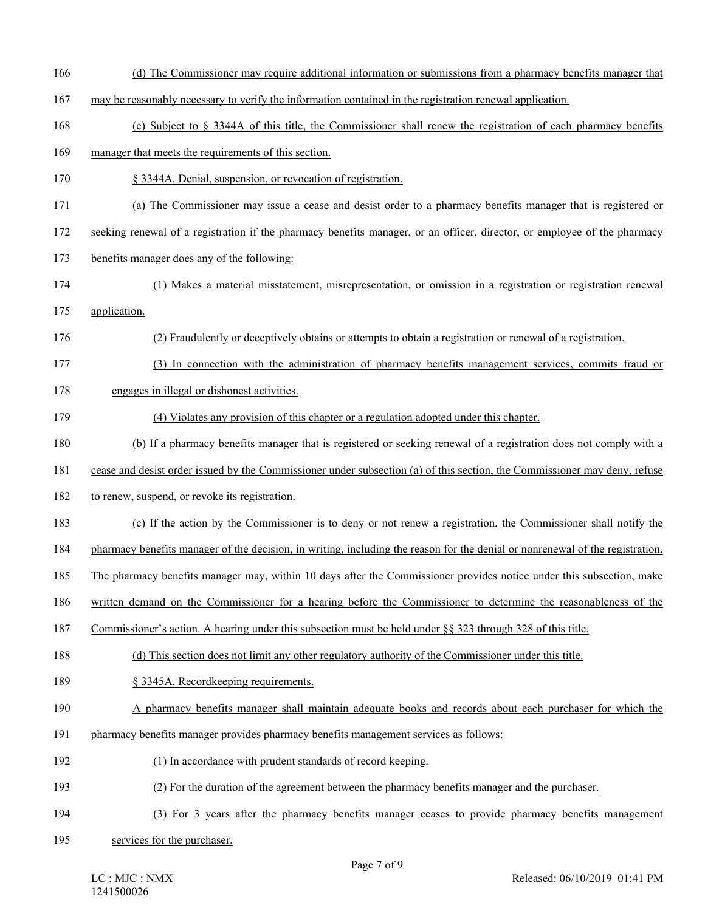- 166 (d) The Commissioner may require additional information or submissions from a pharmacy benefits manager that
- 167 may be reasonably necessary to verify the information contained in the registration renewal application.
- 168 (e) Subject to § 3344A of this title, the Commissioner shall renew the registration of each pharmacy benefits
- 169 manager that meets the requirements of this section.
- 170 § 3344A. Denial, suspension, or revocation of registration.
- 171 (a) The Commissioner may issue a cease and desist order to a pharmacy benefits manager that is registered or
- 172 seeking renewal of a registration if the pharmacy benefits manager, or an officer, director, or employee of the pharmacy
- 173 benefits manager does any of the following:
- 174 (1) Makes a material misstatement, misrepresentation, or omission in a registration or registration renewal
- 175 application.
- 176 (2) Fraudulently or deceptively obtains or attempts to obtain a registration or renewal of a registration.
- 177 (3) In connection with the administration of pharmacy benefits management services, commits fraud or
- 178 engages in illegal or dishonest activities.
- 179 (4) Violates any provision of this chapter or a regulation adopted under this chapter.
- 180 (b) If a pharmacy benefits manager that is registered or seeking renewal of a registration does not comply with a
- 181 cease and desist order issued by the Commissioner under subsection (a) of this section, the Commissioner may deny, refuse
- 182 to renew, suspend, or revoke its registration.
- 183 (c) If the action by the Commissioner is to deny or not renew a registration, the Commissioner shall notify the
- 184 pharmacy benefits manager of the decision, in writing, including the reason for the denial or nonrenewal of the registration.
- 185 The pharmacy benefits manager may, within 10 days after the Commissioner provides notice under this subsection, make
- 186 written demand on the Commissioner for a hearing before the Commissioner to determine the reasonableness of the
- 187 Commissioner's action. A hearing under this subsection must be held under §§ 323 through 328 of this title.
- 188 (d) This section does not limit any other regulatory authority of the Commissioner under this title.
- 189 § 3345A. Recordkeeping requirements.
- 190 A pharmacy benefits manager shall maintain adequate books and records about each purchaser for which the
- 191 pharmacy benefits manager provides pharmacy benefits management services as follows:
- 192 (1) In accordance with prudent standards of record keeping.
- 193 (2) For the duration of the agreement between the pharmacy benefits manager and the purchaser.
- 194 (3) For 3 years after the pharmacy benefits manager ceases to provide pharmacy benefits management
- 195 services for the purchaser.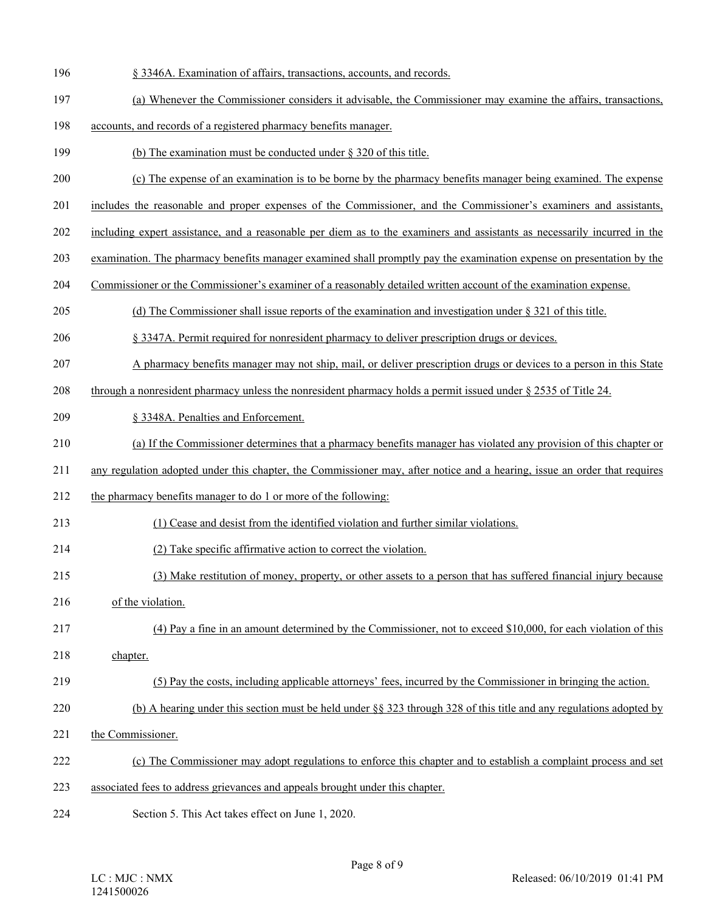- 196 § 3346A. Examination of affairs, transactions, accounts, and records.
- 197 (a) Whenever the Commissioner considers it advisable, the Commissioner may examine the affairs, transactions,
- 198 accounts, and records of a registered pharmacy benefits manager.
- 199 (b) The examination must be conducted under § 320 of this title.
- 200 (c) The expense of an examination is to be borne by the pharmacy benefits manager being examined. The expense
- 201 includes the reasonable and proper expenses of the Commissioner, and the Commissioner's examiners and assistants,
- 202 including expert assistance, and a reasonable per diem as to the examiners and assistants as necessarily incurred in the
- 203 examination. The pharmacy benefits manager examined shall promptly pay the examination expense on presentation by the
- 204 Commissioner or the Commissioner's examiner of a reasonably detailed written account of the examination expense.
- 205 (d) The Commissioner shall issue reports of the examination and investigation under § 321 of this title.
- 206 § 3347A. Permit required for nonresident pharmacy to deliver prescription drugs or devices.
- 207 A pharmacy benefits manager may not ship, mail, or deliver prescription drugs or devices to a person in this State
- 208 through a nonresident pharmacy unless the nonresident pharmacy holds a permit issued under § 2535 of Title 24.
- 209 § 3348A. Penalties and Enforcement.
- 210 (a) If the Commissioner determines that a pharmacy benefits manager has violated any provision of this chapter or
- 211 any regulation adopted under this chapter, the Commissioner may, after notice and a hearing, issue an order that requires
- 212 the pharmacy benefits manager to do 1 or more of the following:
- 213 (1) Cease and desist from the identified violation and further similar violations.
- 214 (2) Take specific affirmative action to correct the violation.
- 215 (3) Make restitution of money, property, or other assets to a person that has suffered financial injury because
- 216 of the violation.
- 217 (4) Pay a fine in an amount determined by the Commissioner, not to exceed \$10,000, for each violation of this 218 chapter.
- 219 (5) Pay the costs, including applicable attorneys' fees, incurred by the Commissioner in bringing the action.
- 220 (b) A hearing under this section must be held under §§ 323 through 328 of this title and any regulations adopted by
- 221 the Commissioner.
- 222 (c) The Commissioner may adopt regulations to enforce this chapter and to establish a complaint process and set
- 223 associated fees to address grievances and appeals brought under this chapter.
- 224 Section 5. This Act takes effect on June 1, 2020.